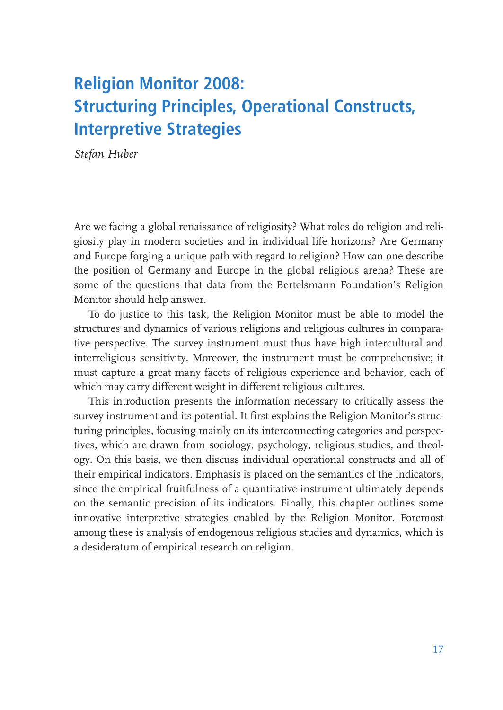# **Religion Monitor 2008: Structuring Principles, Operational Constructs, Interpretive Strategies**

Stefan Huber

Are we facing a global renaissance of religiosity? What roles do religion and religiosity play in modern societies and in individual life horizons? Are Germany and Europe forging a unique path with regard to religion? How can one describe the position of Germany and Europe in the global religious arena? These are some of the questions that data from the Bertelsmann Foundation's Religion Monitor should help answer.

To do justice to this task, the Religion Monitor must be able to model the structures and dynamics of various religions and religious cultures in comparative perspective. The survey instrument must thus have high intercultural and interreligious sensitivity. Moreover, the instrument must be comprehensive; it must capture a great many facets of religious experience and behavior, each of which may carry different weight in different religious cultures.

This introduction presents the information necessary to critically assess the survey instrument and its potential. It first explains the Religion Monitor's structuring principles, focusing mainly on its interconnecting categories and perspectives, which are drawn from sociology, psychology, religious studies, and theology. On this basis, we then discuss individual operational constructs and all of their empirical indicators. Emphasis is placed on the semantics of the indicators, since the empirical fruitfulness of a quantitative instrument ultimately depends on the semantic precision of its indicators. Finally, this chapter outlines some innovative interpretive strategies enabled by the Religion Monitor. Foremost among these is analysis of endogenous religious studies and dynamics, which is a desideratum of empirical research on religion.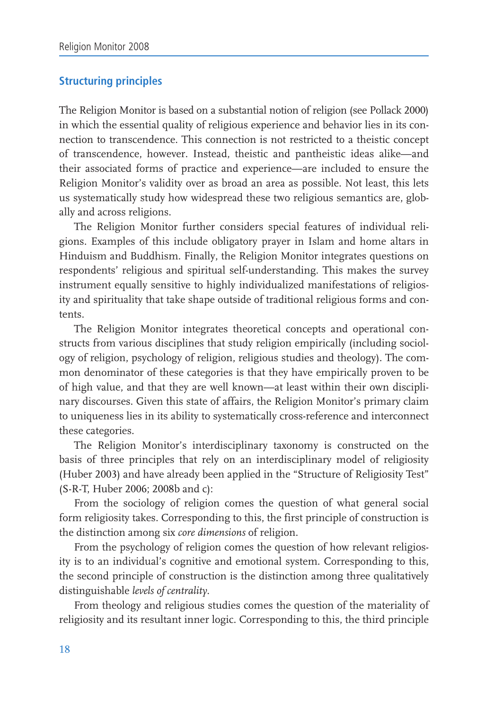# **Structuring principles**

The Religion Monitor is based on a substantial notion of religion (see Pollack 2000) in which the essential quality of religious experience and behavior lies in its connection to transcendence. This connection is not restricted to a theistic concept of transcendence, however. Instead, theistic and pantheistic ideas alike—and their associated forms of practice and experience—are included to ensure the Religion Monitor's validity over as broad an area as possible. Not least, this lets us systematically study how widespread these two religious semantics are, globally and across religions.

The Religion Monitor further considers special features of individual religions. Examples of this include obligatory prayer in Islam and home altars in Hinduism and Buddhism. Finally, the Religion Monitor integrates questions on respondents' religious and spiritual self-understanding. This makes the survey instrument equally sensitive to highly individualized manifestations of religiosity and spirituality that take shape outside of traditional religious forms and contents.

The Religion Monitor integrates theoretical concepts and operational constructs from various disciplines that study religion empirically (including sociology of religion, psychology of religion, religious studies and theology). The common denominator of these categories is that they have empirically proven to be of high value, and that they are well known—at least within their own disciplinary discourses. Given this state of affairs, the Religion Monitor's primary claim to uniqueness lies in its ability to systematically cross-reference and interconnect these categories.

The Religion Monitor's interdisciplinary taxonomy is constructed on the basis of three principles that rely on an interdisciplinary model of religiosity (Huber 2003) and have already been applied in the "Structure of Religiosity Test" (S-R-T, Huber 2006; 2008b and c):

From the sociology of religion comes the question of what general social form religiosity takes. Corresponding to this, the first principle of construction is the distinction among six core dimensions of religion.

From the psychology of religion comes the question of how relevant religiosity is to an individual's cognitive and emotional system. Corresponding to this, the second principle of construction is the distinction among three qualitatively distinguishable levels of centrality.

From theology and religious studies comes the question of the materiality of religiosity and its resultant inner logic. Corresponding to this, the third principle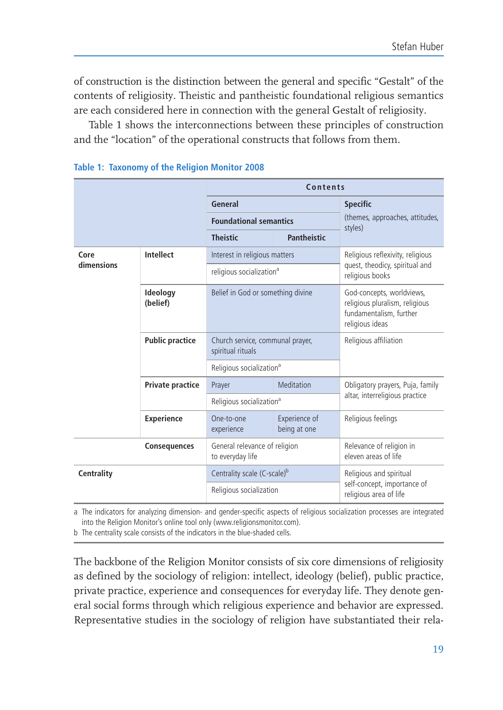of construction is the distinction between the general and specific "Gestalt" of the contents of religiosity. Theistic and pantheistic foundational religious semantics are each considered here in connection with the general Gestalt of religiosity.

Table 1 shows the interconnections between these principles of construction and the "location" of the operational constructs that follows from them.

|                     |                        | Contents                                              |                               |                                                                                                           |  |
|---------------------|------------------------|-------------------------------------------------------|-------------------------------|-----------------------------------------------------------------------------------------------------------|--|
|                     |                        | General                                               |                               | <b>Specific</b>                                                                                           |  |
|                     |                        | <b>Foundational semantics</b>                         |                               | (themes, approaches, attitudes,<br>styles)                                                                |  |
|                     |                        | <b>Theistic</b>                                       | Pantheistic                   |                                                                                                           |  |
| Core                | Intellect              | Interest in religious matters                         |                               | Religious reflexivity, religious<br>quest, theodicy, spiritual and<br>religious books                     |  |
| dimensions          |                        | religious socialization <sup>a</sup>                  |                               |                                                                                                           |  |
|                     | Ideology<br>(belief)   | Belief in God or something divine                     |                               | God-concepts, worldviews,<br>religious pluralism, religious<br>fundamentalism, further<br>religious ideas |  |
|                     | <b>Public practice</b> | Church service, communal prayer,<br>spiritual rituals |                               | Religious affiliation                                                                                     |  |
|                     |                        | Religious socialization <sup>a</sup>                  |                               |                                                                                                           |  |
|                     | Private practice       | Prayer                                                | Meditation                    | Obligatory prayers, Puja, family                                                                          |  |
|                     |                        | Religious socialization <sup>a</sup>                  |                               | altar, interreligious practice                                                                            |  |
|                     | <b>Experience</b>      | One-to-one<br>experience                              | Experience of<br>being at one | Religious feelings                                                                                        |  |
| <b>Consequences</b> |                        | General relevance of religion<br>to everyday life     |                               | Relevance of religion in<br>eleven areas of life                                                          |  |
| <b>Centrality</b>   |                        | Centrality scale (C-scale) <sup>b</sup>               |                               | Religious and spiritual                                                                                   |  |
|                     |                        | Religious socialization                               |                               | self-concept, importance of<br>religious area of life                                                     |  |

#### Table 1: Taxonomy of the Religion Monitor 2008

a The indicators for analyzing dimension- and gender-specific aspects of religious socialization processes are integrated into the Religion Monitor's online tool only (www.religionsmonitor.com).

b The centrality scale consists of the indicators in the blue-shaded cells.

The backbone of the Religion Monitor consists of six core dimensions of religiosity as defined by the sociology of religion: intellect, ideology (belief), public practice, private practice, experience and consequences for everyday life. They denote general social forms through which religious experience and behavior are expressed. Representative studies in the sociology of religion have substantiated their rela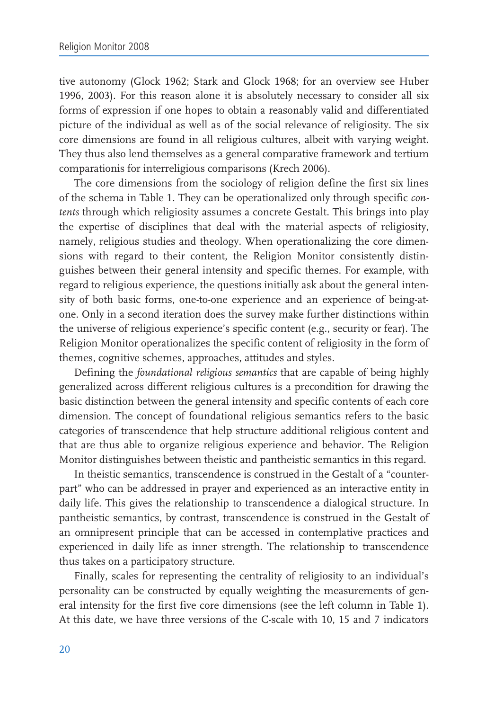tive autonomy (Glock 1962; Stark and Glock 1968; for an overview see Huber 1996, 2003). For this reason alone it is absolutely necessary to consider all six forms of expression if one hopes to obtain a reasonably valid and differentiated picture of the individual as well as of the social relevance of religiosity. The six core dimensions are found in all religious cultures, albeit with varying weight. They thus also lend themselves as a general comparative framework and tertium comparationis for interreligious comparisons (Krech 2006).

The core dimensions from the sociology of religion define the first six lines of the schema in Table 1. They can be operationalized only through specific contents through which religiosity assumes a concrete Gestalt. This brings into play the expertise of disciplines that deal with the material aspects of religiosity, namely, religious studies and theology. When operationalizing the core dimensions with regard to their content, the Religion Monitor consistently distinguishes between their general intensity and specific themes. For example, with regard to religious experience, the questions initially ask about the general intensity of both basic forms, one-to-one experience and an experience of being-atone. Only in a second iteration does the survey make further distinctions within the universe of religious experience's specific content (e.g., security or fear). The Religion Monitor operationalizes the specific content of religiosity in the form of themes, cognitive schemes, approaches, attitudes and styles.

Defining the foundational religious semantics that are capable of being highly generalized across different religious cultures is a precondition for drawing the basic distinction between the general intensity and specific contents of each core dimension. The concept of foundational religious semantics refers to the basic categories of transcendence that help structure additional religious content and that are thus able to organize religious experience and behavior. The Religion Monitor distinguishes between theistic and pantheistic semantics in this regard.

In theistic semantics, transcendence is construed in the Gestalt of a "counterpart" who can be addressed in prayer and experienced as an interactive entity in daily life. This gives the relationship to transcendence a dialogical structure. In pantheistic semantics, by contrast, transcendence is construed in the Gestalt of an omnipresent principle that can be accessed in contemplative practices and experienced in daily life as inner strength. The relationship to transcendence thus takes on a participatory structure.

Finally, scales for representing the centrality of religiosity to an individual's personality can be constructed by equally weighting the measurements of general intensity for the first five core dimensions (see the left column in Table 1). At this date, we have three versions of the C-scale with 10, 15 and 7 indicators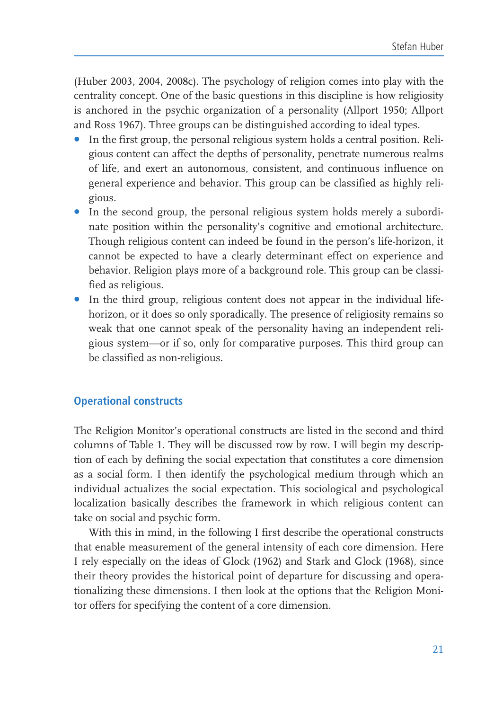(Huber 2003, 2004, 2008c). The psychology of religion comes into play with the centrality concept. One of the basic questions in this discipline is how religiosity is anchored in the psychic organization of a personality (Allport 1950; Allport and Ross 1967). Three groups can be distinguished according to ideal types.

- In the first group, the personal religious system holds a central position. Reli- $\bullet$ gious content can affect the depths of personality, penetrate numerous realms of life, and exert an autonomous, consistent, and continuous influence on general experience and behavior. This group can be classified as highly religious.
- In the second group, the personal religious system holds merely a subordinate position within the personality's cognitive and emotional architecture. Though religious content can indeed be found in the person's life-horizon, it cannot be expected to have a clearly determinant effect on experience and behavior. Religion plays more of a background role. This group can be classified as religious.
- In the third group, religious content does not appear in the individual lifehorizon, or it does so only sporadically. The presence of religiosity remains so weak that one cannot speak of the personality having an independent religious system-or if so, only for comparative purposes. This third group can be classified as non-religious.

# **Operational constructs**

The Religion Monitor's operational constructs are listed in the second and third columns of Table 1. They will be discussed row by row. I will begin my description of each by defining the social expectation that constitutes a core dimension as a social form. I then identify the psychological medium through which an individual actualizes the social expectation. This sociological and psychological localization basically describes the framework in which religious content can take on social and psychic form.

With this in mind, in the following I first describe the operational constructs that enable measurement of the general intensity of each core dimension. Here I rely especially on the ideas of Glock (1962) and Stark and Glock (1968), since their theory provides the historical point of departure for discussing and operationalizing these dimensions. I then look at the options that the Religion Monitor offers for specifying the content of a core dimension.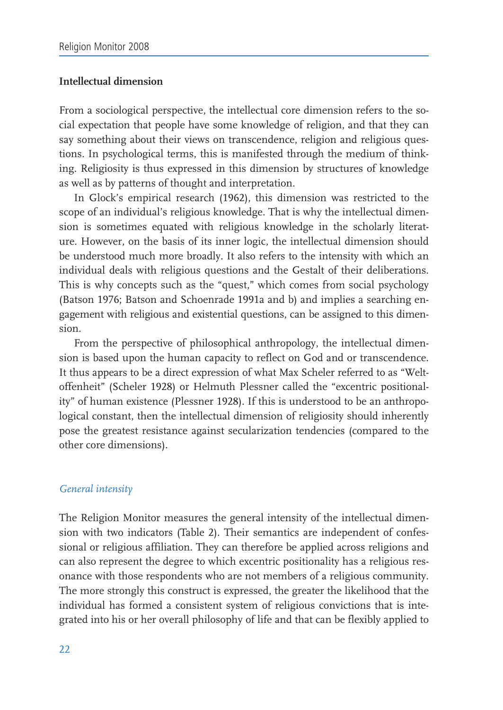# Intellectual dimension

From a sociological perspective, the intellectual core dimension refers to the social expectation that people have some knowledge of religion, and that they can say something about their views on transcendence, religion and religious questions. In psychological terms, this is manifested through the medium of thinking. Religiosity is thus expressed in this dimension by structures of knowledge as well as by patterns of thought and interpretation.

In Glock's empirical research (1962), this dimension was restricted to the scope of an individual's religious knowledge. That is why the intellectual dimension is sometimes equated with religious knowledge in the scholarly literature. However, on the basis of its inner logic, the intellectual dimension should be understood much more broadly. It also refers to the intensity with which an individual deals with religious questions and the Gestalt of their deliberations. This is why concepts such as the "quest," which comes from social psychology (Batson 1976; Batson and Schoenrade 1991a and b) and implies a searching engagement with religious and existential questions, can be assigned to this dimension.

From the perspective of philosophical anthropology, the intellectual dimension is based upon the human capacity to reflect on God and or transcendence. It thus appears to be a direct expression of what Max Scheler referred to as "Weltoffenheit" (Scheler 1928) or Helmuth Plessner called the "excentric positionality" of human existence (Plessner 1928). If this is understood to be an anthropological constant, then the intellectual dimension of religiosity should inherently pose the greatest resistance against secularization tendencies (compared to the other core dimensions).

#### General intensity

The Religion Monitor measures the general intensity of the intellectual dimension with two indicators (Table 2). Their semantics are independent of confessional or religious affiliation. They can therefore be applied across religions and can also represent the degree to which excentric positionality has a religious resonance with those respondents who are not members of a religious community. The more strongly this construct is expressed, the greater the likelihood that the individual has formed a consistent system of religious convictions that is integrated into his or her overall philosophy of life and that can be flexibly applied to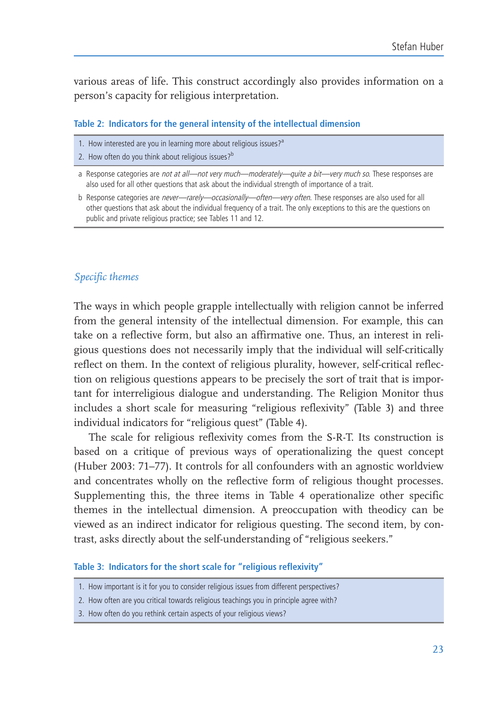various areas of life. This construct accordingly also provides information on a person's capacity for religious interpretation.

#### Table 2: Indicators for the general intensity of the intellectual dimension

- 1. How interested are you in learning more about religious issues?<sup>a</sup>
- 2. How often do you think about religious issues?<sup>b</sup>

b Response categories are never-rarely-occasionally-often-very often. These responses are also used for all other questions that ask about the individual frequency of a trait. The only exceptions to this are the questions on public and private religious practice; see Tables 11 and 12.

### Specific themes

The ways in which people grapple intellectually with religion cannot be inferred from the general intensity of the intellectual dimension. For example, this can take on a reflective form, but also an affirmative one. Thus, an interest in religious questions does not necessarily imply that the individual will self-critically reflect on them. In the context of religious plurality, however, self-critical reflection on religious questions appears to be precisely the sort of trait that is important for interreligious dialogue and understanding. The Religion Monitor thus includes a short scale for measuring "religious reflexivity" (Table 3) and three individual indicators for "religious quest" (Table 4).

The scale for religious reflexivity comes from the S-R-T. Its construction is based on a critique of previous ways of operationalizing the quest concept (Huber 2003: 71-77). It controls for all confounders with an agnostic worldview and concentrates wholly on the reflective form of religious thought processes. Supplementing this, the three items in Table 4 operationalize other specific themes in the intellectual dimension. A preoccupation with theodicy can be viewed as an indirect indicator for religious questing. The second item, by contrast, asks directly about the self-understanding of "religious seekers."

#### Table 3: Indicators for the short scale for "religious reflexivity"

- 1. How important is it for you to consider religious issues from different perspectives?
- 2. How often are you critical towards religious teachings you in principle agree with?
- 3. How often do you rethink certain aspects of your religious views?

a Response categories are not at all-not very much-moderately-quite a bit-very much so. These responses are also used for all other questions that ask about the individual strength of importance of a trait.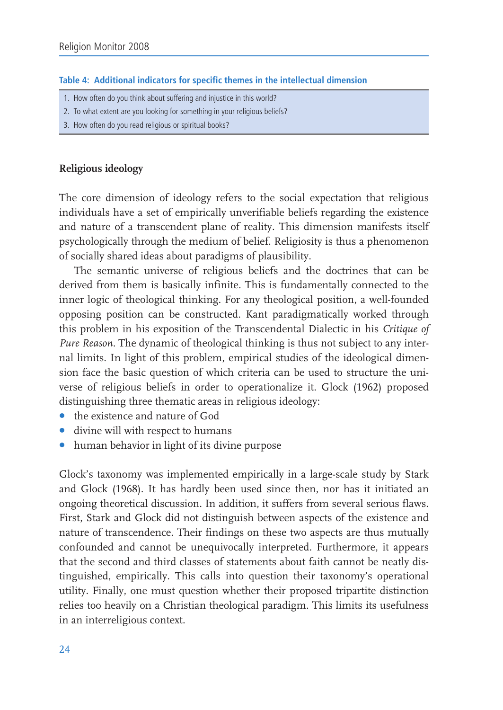#### Table 4: Additional indicators for specific themes in the intellectual dimension

- 1. How often do you think about suffering and injustice in this world?
- 2. To what extent are you looking for something in your religious beliefs?
- 3. How often do you read religious or spiritual books?

# Religious ideology

The core dimension of ideology refers to the social expectation that religious individuals have a set of empirically unverifiable beliefs regarding the existence and nature of a transcendent plane of reality. This dimension manifests itself psychologically through the medium of belief. Religiosity is thus a phenomenon of socially shared ideas about paradigms of plausibility.

The semantic universe of religious beliefs and the doctrines that can be derived from them is basically infinite. This is fundamentally connected to the inner logic of theological thinking. For any theological position, a well-founded opposing position can be constructed. Kant paradigmatically worked through this problem in his exposition of the Transcendental Dialectic in his Critique of *Pure Reason.* The dynamic of theological thinking is thus not subject to any internal limits. In light of this problem, empirical studies of the ideological dimension face the basic question of which criteria can be used to structure the universe of religious beliefs in order to operationalize it. Glock (1962) proposed distinguishing three thematic areas in religious ideology:

- the existence and nature of God
- divine will with respect to humans
- human behavior in light of its divine purpose

Glock's taxonomy was implemented empirically in a large-scale study by Stark and Glock (1968). It has hardly been used since then, nor has it initiated an ongoing theoretical discussion. In addition, it suffers from several serious flaws. First, Stark and Glock did not distinguish between aspects of the existence and nature of transcendence. Their findings on these two aspects are thus mutually confounded and cannot be unequivocally interpreted. Furthermore, it appears that the second and third classes of statements about faith cannot be neatly distinguished, empirically. This calls into question their taxonomy's operational utility. Finally, one must question whether their proposed tripartite distinction relies too heavily on a Christian theological paradigm. This limits its usefulness in an interreligious context.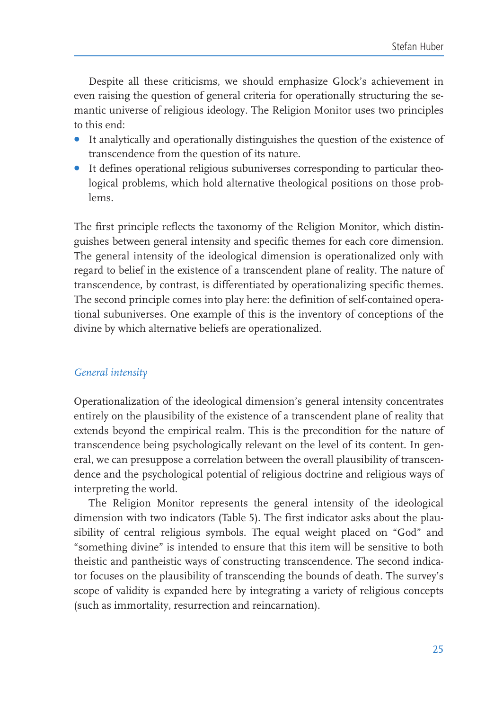Despite all these criticisms, we should emphasize Glock's achievement in even raising the question of general criteria for operationally structuring the semantic universe of religious ideology. The Religion Monitor uses two principles to this end:

- It analytically and operationally distinguishes the question of the existence of transcendence from the question of its nature.
- It defines operational religious subuniverses corresponding to particular theological problems, which hold alternative theological positions on those problems

The first principle reflects the taxonomy of the Religion Monitor, which distinguishes between general intensity and specific themes for each core dimension. The general intensity of the ideological dimension is operationalized only with regard to belief in the existence of a transcendent plane of reality. The nature of transcendence, by contrast, is differentiated by operationalizing specific themes. The second principle comes into play here: the definition of self-contained operational subuniverses. One example of this is the inventory of conceptions of the divine by which alternative beliefs are operationalized.

# General intensity

Operationalization of the ideological dimension's general intensity concentrates entirely on the plausibility of the existence of a transcendent plane of reality that extends beyond the empirical realm. This is the precondition for the nature of transcendence being psychologically relevant on the level of its content. In general, we can presuppose a correlation between the overall plausibility of transcendence and the psychological potential of religious doctrine and religious ways of interpreting the world.

The Religion Monitor represents the general intensity of the ideological dimension with two indicators (Table 5). The first indicator asks about the plausibility of central religious symbols. The equal weight placed on "God" and "something divine" is intended to ensure that this item will be sensitive to both theistic and pantheistic ways of constructing transcendence. The second indicator focuses on the plausibility of transcending the bounds of death. The survey's scope of validity is expanded here by integrating a variety of religious concepts (such as immortality, resurrection and reincarnation).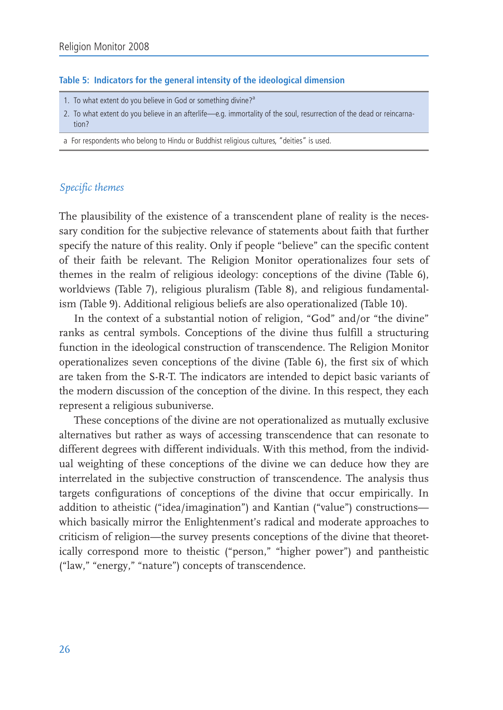#### Table 5: Indicators for the general intensity of the ideological dimension

- 1. To what extent do you believe in God or something divine?<sup>a</sup>
- 2. To what extent do you believe in an afterlife-e.g. immortality of the soul, resurrection of the dead or reincarnation?
- a For respondents who belong to Hindu or Buddhist religious cultures, "deities" is used.

# Specific themes

The plausibility of the existence of a transcendent plane of reality is the necessary condition for the subjective relevance of statements about faith that further specify the nature of this reality. Only if people "believe" can the specific content of their faith be relevant. The Religion Monitor operationalizes four sets of themes in the realm of religious ideology: conceptions of the divine (Table 6), worldviews (Table 7), religious pluralism (Table 8), and religious fundamentalism (Table 9). Additional religious beliefs are also operationalized (Table 10).

In the context of a substantial notion of religion, "God" and/or "the divine" ranks as central symbols. Conceptions of the divine thus fulfill a structuring function in the ideological construction of transcendence. The Religion Monitor operationalizes seven conceptions of the divine (Table 6), the first six of which are taken from the S-R-T. The indicators are intended to depict basic variants of the modern discussion of the conception of the divine. In this respect, they each represent a religious subuniverse.

These conceptions of the divine are not operationalized as mutually exclusive alternatives but rather as ways of accessing transcendence that can resonate to different degrees with different individuals. With this method, from the individual weighting of these conceptions of the divine we can deduce how they are interrelated in the subjective construction of transcendence. The analysis thus targets configurations of conceptions of the divine that occur empirically. In addition to atheistic ("idea/imagination") and Kantian ("value") constructionswhich basically mirror the Enlightenment's radical and moderate approaches to criticism of religion—the survey presents conceptions of the divine that theoretically correspond more to theistic ("person," "higher power") and pantheistic ("law," "energy," "nature") concepts of transcendence.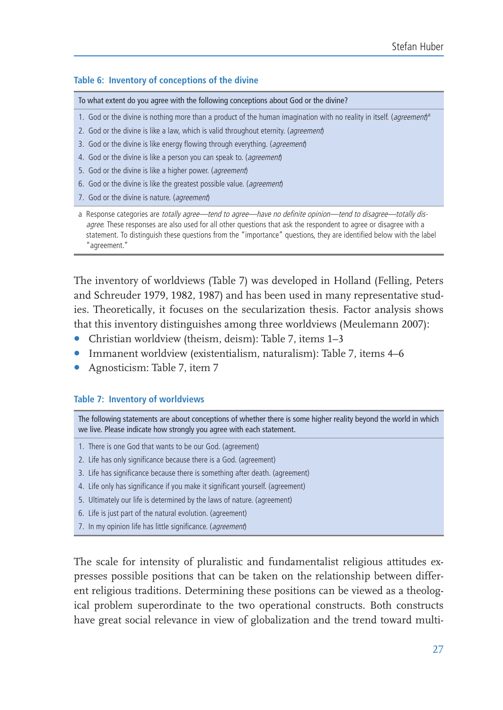#### Table 6: Inventory of conceptions of the divine

To what extent do you agree with the following conceptions about God or the divine?

- 1. God or the divine is nothing more than a product of the human imagination with no reality in itself. (agreement)<sup>a</sup>
- 2. God or the divine is like a law, which is valid throughout eternity. (agreement)
- 3. God or the divine is like energy flowing through everything. (agreement)
- 4. God or the divine is like a person you can speak to. (agreement)
- 5. God or the divine is like a higher power. (agreement)
- 6. God or the divine is like the greatest possible value. (agreement)
- 7. God or the divine is nature. (agreement)

a Response categories are totally agree—tend to agree—have no definite opinion—tend to disagree—totally disagree. These responses are also used for all other questions that ask the respondent to agree or disagree with a statement. To distinguish these questions from the "importance" questions, they are identified below with the label "agreement."

The inventory of worldviews (Table 7) was developed in Holland (Felling, Peters and Schreuder 1979, 1982, 1987) and has been used in many representative studies. Theoretically, it focuses on the secularization thesis. Factor analysis shows that this inventory distinguishes among three worldviews (Meulemann 2007):

- Christian worldview (theism, deism): Table 7, items 1-3
- Immanent worldview (existentialism, naturalism): Table 7, items 4–6
- Agnosticism: Table 7, item 7

#### **Table 7: Inventory of worldviews**

The following statements are about conceptions of whether there is some higher reality beyond the world in which we live. Please indicate how strongly you agree with each statement.

- 1. There is one God that wants to be our God. (agreement)
- 2. Life has only significance because there is a God. (agreement)
- 3. Life has significance because there is something after death. (agreement)
- 4. Life only has significance if you make it significant yourself. (agreement)
- 5. Ultimately our life is determined by the laws of nature. (agreement)
- 6. Life is just part of the natural evolution. (agreement)
- 7. In my opinion life has little significance. (agreement)

The scale for intensity of pluralistic and fundamentalist religious attitudes expresses possible positions that can be taken on the relationship between different religious traditions. Determining these positions can be viewed as a theological problem superordinate to the two operational constructs. Both constructs have great social relevance in view of globalization and the trend toward multi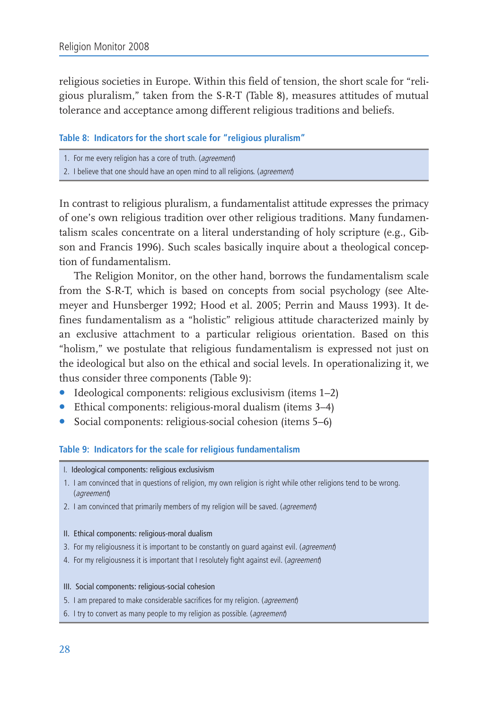religious societies in Europe. Within this field of tension, the short scale for "religious pluralism," taken from the S-R-T (Table 8), measures attitudes of mutual tolerance and acceptance among different religious traditions and beliefs.

#### Table 8: Indicators for the short scale for "religious pluralism"

- 1. For me every religion has a core of truth. (agreement)
- 2. I believe that one should have an open mind to all religions. (agreement)

In contrast to religious pluralism, a fundamentalist attitude expresses the primacy of one's own religious tradition over other religious traditions. Many fundamentalism scales concentrate on a literal understanding of holy scripture (e.g., Gibson and Francis 1996). Such scales basically inquire about a theological conception of fundamentalism

The Religion Monitor, on the other hand, borrows the fundamentalism scale from the S-R-T, which is based on concepts from social psychology (see Altemeyer and Hunsberger 1992; Hood et al. 2005; Perrin and Mauss 1993). It defines fundamentalism as a "holistic" religious attitude characterized mainly by an exclusive attachment to a particular religious orientation. Based on this "holism," we postulate that religious fundamentalism is expressed not just on the ideological but also on the ethical and social levels. In operationalizing it, we thus consider three components (Table 9):

- Ideological components: religious exclusivism (items 1-2)
- Ethical components: religious-moral dualism (items 3-4)
- Social components: religious-social cohesion (items 5–6)

#### Table 9: Indicators for the scale for religious fundamentalism

- I. Ideological components: religious exclusivism
- 1. I am convinced that in questions of religion, my own religion is right while other religions tend to be wrong. (agreement)
- 2. I am convinced that primarily members of my religion will be saved. (agreement)

#### II. Ethical components: religious-moral dualism

- 3. For my religiousness it is important to be constantly on guard against evil. (agreement)
- 4. For my religiousness it is important that I resolutely fight against evil. (agreement)

#### III. Social components: religious-social cohesion

- 5. I am prepared to make considerable sacrifices for my religion. (agreement)
- 6. I try to convert as many people to my religion as possible. (agreement)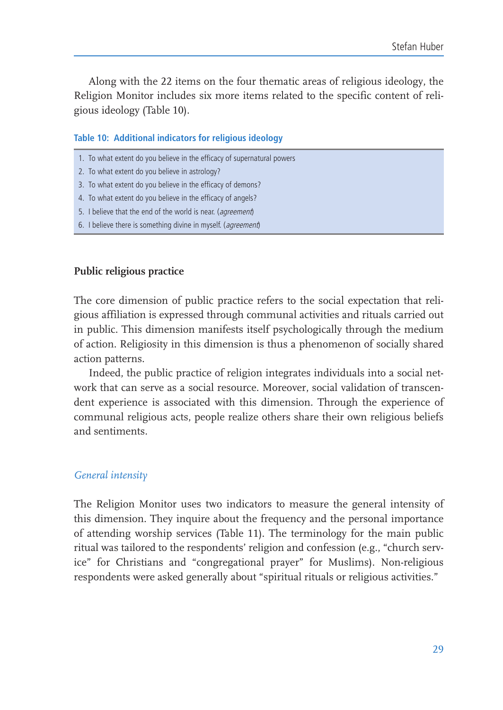Along with the 22 items on the four thematic areas of religious ideology, the Religion Monitor includes six more items related to the specific content of religious ideology (Table 10).

### Table 10: Additional indicators for religious ideology

- 1. To what extent do you believe in the efficacy of supernatural powers
- 2. To what extent do you believe in astrology?
- 3. To what extent do you believe in the efficacy of demons?
- 4. To what extent do you believe in the efficacy of angels?
- 5. I believe that the end of the world is near. (agreement)
- 6. I believe there is something divine in myself. (agreement)

# Public religious practice

The core dimension of public practice refers to the social expectation that religious affiliation is expressed through communal activities and rituals carried out in public. This dimension manifests itself psychologically through the medium of action. Religiosity in this dimension is thus a phenomenon of socially shared action patterns.

Indeed, the public practice of religion integrates individuals into a social network that can serve as a social resource. Moreover, social validation of transcendent experience is associated with this dimension. Through the experience of communal religious acts, people realize others share their own religious beliefs and sentiments

#### General intensity

The Religion Monitor uses two indicators to measure the general intensity of this dimension. They inquire about the frequency and the personal importance of attending worship services (Table 11). The terminology for the main public ritual was tailored to the respondents' religion and confession (e.g., "church service" for Christians and "congregational prayer" for Muslims). Non-religious respondents were asked generally about "spiritual rituals or religious activities."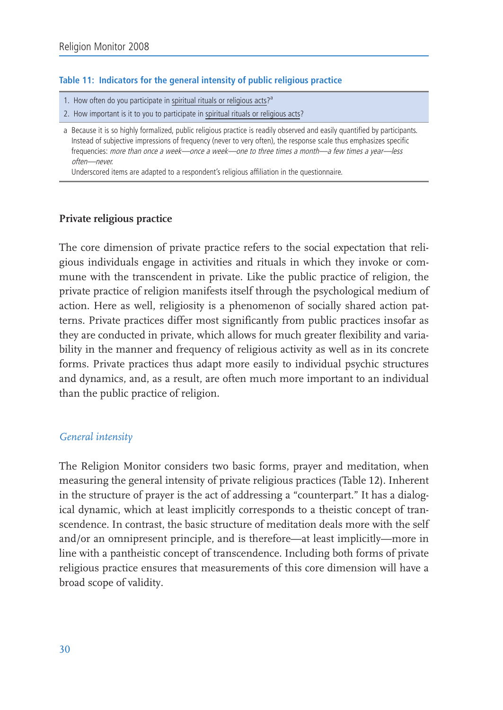# Table 11: Indicators for the general intensity of public religious practice

- 1. How often do you participate in spiritual rituals or religious acts?<sup>a</sup>
- 2. How important is it to you to participate in spiritual rituals or religious acts?

Underscored items are adapted to a respondent's religious affiliation in the questionnaire.

# Private religious practice

The core dimension of private practice refers to the social expectation that religious individuals engage in activities and rituals in which they invoke or commune with the transcendent in private. Like the public practice of religion, the private practice of religion manifests itself through the psychological medium of action. Here as well, religiosity is a phenomenon of socially shared action patterns. Private practices differ most significantly from public practices insofar as they are conducted in private, which allows for much greater flexibility and variability in the manner and frequency of religious activity as well as in its concrete forms. Private practices thus adapt more easily to individual psychic structures and dynamics, and, as a result, are often much more important to an individual than the public practice of religion.

# General intensity

The Religion Monitor considers two basic forms, prayer and meditation, when measuring the general intensity of private religious practices (Table 12). Inherent in the structure of prayer is the act of addressing a "counterpart." It has a dialogical dynamic, which at least implicitly corresponds to a theistic concept of transcendence. In contrast, the basic structure of meditation deals more with the self and/or an omnipresent principle, and is therefore—at least implicitly—more in line with a pantheistic concept of transcendence. Including both forms of private religious practice ensures that measurements of this core dimension will have a broad scope of validity.

a Because it is so highly formalized, public religious practice is readily observed and easily quantified by participants. Instead of subjective impressions of frequency (never to very often), the response scale thus emphasizes specific frequencies: more than once a week-once a week-one to three times a month-a few times a year-less often-never.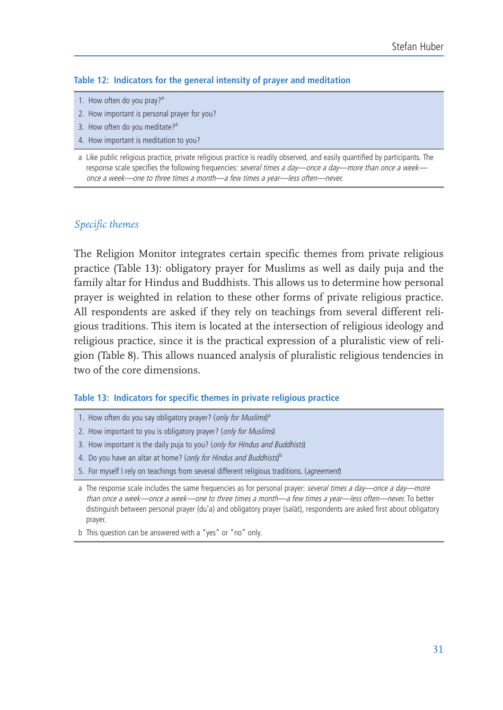### Table 12: Indicators for the general intensity of prayer and meditation

- 1. How often do you pray?<sup>a</sup>
- 2. How important is personal prayer for you?
- 3. How often do you meditate?<sup>a</sup>
- 4. How important is meditation to you?

# Specific themes

The Religion Monitor integrates certain specific themes from private religious practice (Table 13): obligatory prayer for Muslims as well as daily puia and the family altar for Hindus and Buddhists. This allows us to determine how personal prayer is weighted in relation to these other forms of private religious practice. All respondents are asked if they rely on teachings from several different religious traditions. This item is located at the intersection of religious ideology and religious practice, since it is the practical expression of a pluralistic view of religion (Table 8). This allows nuanced analysis of pluralistic religious tendencies in two of the core dimensions.

#### Table 13: Indicators for specific themes in private religious practice

- 1. How often do you say obligatory prayer? (only for Muslims)<sup>a</sup>
- 2. How important to you is obligatory prayer? (only for Muslims)
- 3. How important is the daily puja to you? (only for Hindus and Buddhists)
- 4. Do you have an altar at home? (only for Hindus and Buddhists)<sup>b</sup>
- 5. For myself I rely on teachings from several different religious traditions. (agreement)

b This question can be answered with a "yes" or "no" only.

a Like public religious practice, private religious practice is readily observed, and easily quantified by participants. The response scale specifies the following frequencies: several times a day—once a day—more than once a week once a week—one to three times a month—a few times a vear—less often—never.

a The response scale includes the same frequencies as for personal prayer: several times a day-once a day-more than once a week—once a week—one to three times a month—a few times a year—less often—never. To better distinguish between personal prayer (du'a) and obligatory prayer (salát), respondents are asked first about obligatory prayer.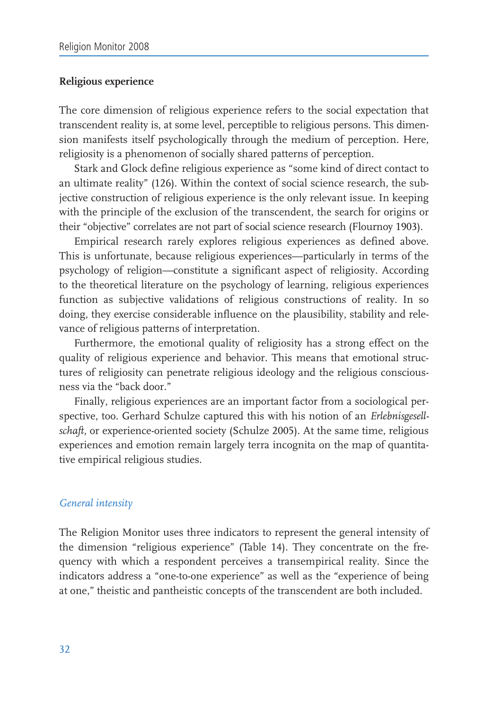## Religious experience

The core dimension of religious experience refers to the social expectation that transcendent reality is, at some level, perceptible to religious persons. This dimension manifests itself psychologically through the medium of perception. Here, religiosity is a phenomenon of socially shared patterns of perception.

Stark and Glock define religious experience as "some kind of direct contact to an ultimate reality" (126). Within the context of social science research, the subjective construction of religious experience is the only relevant issue. In keeping with the principle of the exclusion of the transcendent, the search for origins or their "objective" correlates are not part of social science research (Flournoy 1903).

Empirical research rarely explores religious experiences as defined above. This is unfortunate, because religious experiences—particularly in terms of the psychology of religion—constitute a significant aspect of religiosity. According to the theoretical literature on the psychology of learning, religious experiences function as subjective validations of religious constructions of reality. In so doing, they exercise considerable influence on the plausibility, stability and relevance of religious patterns of interpretation.

Furthermore, the emotional quality of religiosity has a strong effect on the quality of religious experience and behavior. This means that emotional structures of religiosity can penetrate religious ideology and the religious consciousness via the "back door."

Finally, religious experiences are an important factor from a sociological perspective, too. Gerhard Schulze captured this with his notion of an Erlebnisgesellschaft, or experience-oriented society (Schulze 2005). At the same time, religious experiences and emotion remain largely terra incognita on the map of quantitative empirical religious studies.

#### General intensity

The Religion Monitor uses three indicators to represent the general intensity of the dimension "religious experience" (Table 14). They concentrate on the frequency with which a respondent perceives a transempirical reality. Since the indicators address a "one-to-one experience" as well as the "experience of being at one," theistic and pantheistic concepts of the transcendent are both included.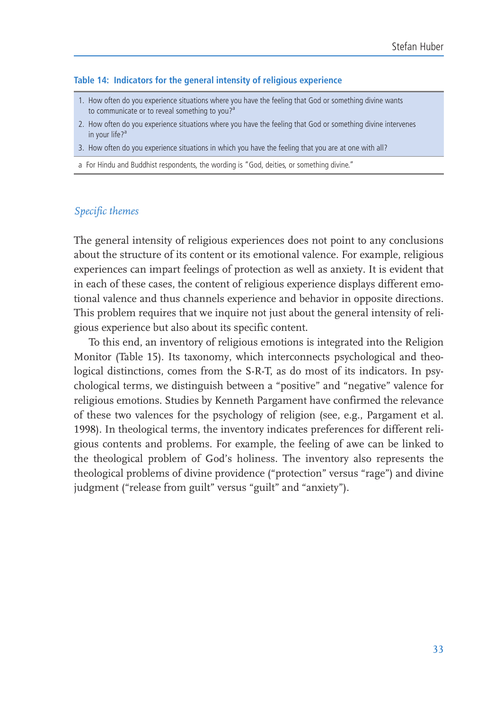#### Table 14: Indicators for the general intensity of religious experience

- 1. How often do you experience situations where you have the feeling that God or something divine wants to communicate or to reveal something to you?<sup>a</sup>
- 2. How often do you experience situations where you have the feeling that God or something divine intervenes in your life?<sup>a</sup>
- 3. How often do you experience situations in which you have the feeling that you are at one with all?

a For Hindu and Buddhist respondents, the wording is "God, deities, or something divine."

#### Specific themes

The general intensity of religious experiences does not point to any conclusions about the structure of its content or its emotional valence. For example, religious experiences can impart feelings of protection as well as anxiety. It is evident that in each of these cases, the content of religious experience displays different emotional valence and thus channels experience and behavior in opposite directions. This problem requires that we inquire not just about the general intensity of religious experience but also about its specific content.

To this end, an inventory of religious emotions is integrated into the Religion Monitor (Table 15). Its taxonomy, which interconnects psychological and theological distinctions, comes from the S-R-T, as do most of its indicators. In psychological terms, we distinguish between a "positive" and "negative" valence for religious emotions. Studies by Kenneth Pargament have confirmed the relevance of these two valences for the psychology of religion (see, e.g., Pargament et al. 1998). In theological terms, the inventory indicates preferences for different religious contents and problems. For example, the feeling of awe can be linked to the theological problem of God's holiness. The inventory also represents the theological problems of divine providence ("protection" versus "rage") and divine judgment ("release from guilt" versus "guilt" and "anxiety").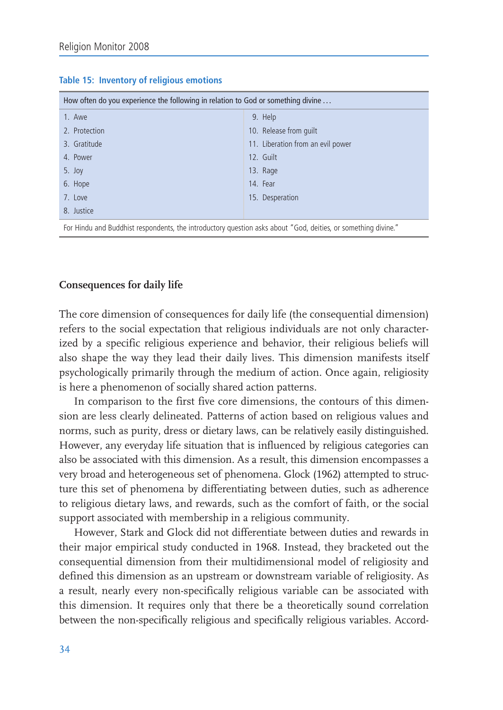| How often do you experience the following in relation to God or something divine |                                   |  |  |
|----------------------------------------------------------------------------------|-----------------------------------|--|--|
| 1. Awe                                                                           | 9. Help                           |  |  |
| 2. Protection                                                                    | 10. Release from guilt            |  |  |
| 3. Gratitude                                                                     | 11. Liberation from an evil power |  |  |
| 4. Power                                                                         | 12. Guilt                         |  |  |
| 5. Joy                                                                           | 13. Rage                          |  |  |
| 6. Hope                                                                          | 14. Fear                          |  |  |
| 7. Love                                                                          | 15. Desperation                   |  |  |
| 8. Justice                                                                       |                                   |  |  |

#### Table 15: Inventory of religious emotions

For Hindu and Buddhist respondents, the introductory question asks about "God, deities, or something divine."

#### **Consequences for daily life**

The core dimension of consequences for daily life (the consequential dimension) refers to the social expectation that religious individuals are not only characterized by a specific religious experience and behavior, their religious beliefs will also shape the way they lead their daily lives. This dimension manifests itself psychologically primarily through the medium of action. Once again, religiosity is here a phenomenon of socially shared action patterns.

In comparison to the first five core dimensions, the contours of this dimension are less clearly delineated. Patterns of action based on religious values and norms, such as purity, dress or dietary laws, can be relatively easily distinguished. However, any everyday life situation that is influenced by religious categories can also be associated with this dimension. As a result, this dimension encompasses a very broad and heterogeneous set of phenomena. Glock (1962) attempted to structure this set of phenomena by differentiating between duties, such as adherence to religious dietary laws, and rewards, such as the comfort of faith, or the social support associated with membership in a religious community.

However, Stark and Glock did not differentiate between duties and rewards in their major empirical study conducted in 1968. Instead, they bracketed out the consequential dimension from their multidimensional model of religiosity and defined this dimension as an upstream or downstream variable of religiosity. As a result, nearly every non-specifically religious variable can be associated with this dimension. It requires only that there be a theoretically sound correlation between the non-specifically religious and specifically religious variables. Accord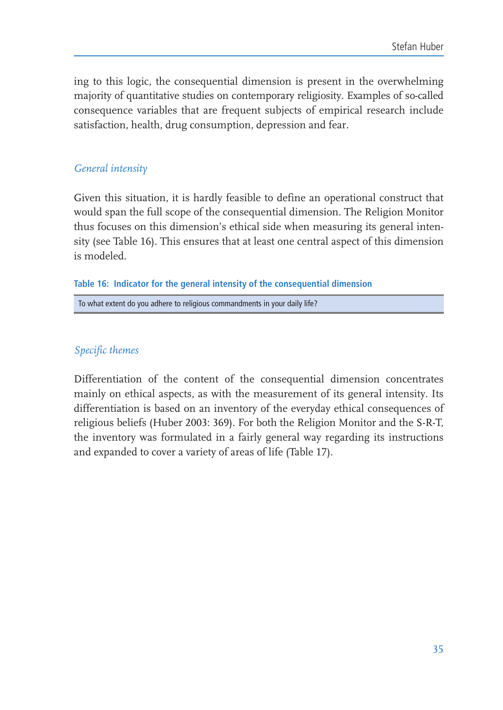ing to this logic, the consequential dimension is present in the overwhelming majority of quantitative studies on contemporary religiosity. Examples of so-called consequence variables that are frequent subjects of empirical research include satisfaction, health, drug consumption, depression and fear.

# General intensity

Given this situation, it is hardly feasible to define an operational construct that would span the full scope of the consequential dimension. The Religion Monitor thus focuses on this dimension's ethical side when measuring its general intensity (see Table 16). This ensures that at least one central aspect of this dimension is modeled.

# Table 16: Indicator for the general intensity of the consequential dimension

To what extent do you adhere to religious commandments in your daily life?

# Specific themes

Differentiation of the content of the consequential dimension concentrates mainly on ethical aspects, as with the measurement of its general intensity. Its differentiation is based on an inventory of the everyday ethical consequences of religious beliefs (Huber 2003: 369). For both the Religion Monitor and the S-R-T, the inventory was formulated in a fairly general way regarding its instructions and expanded to cover a variety of areas of life (Table 17).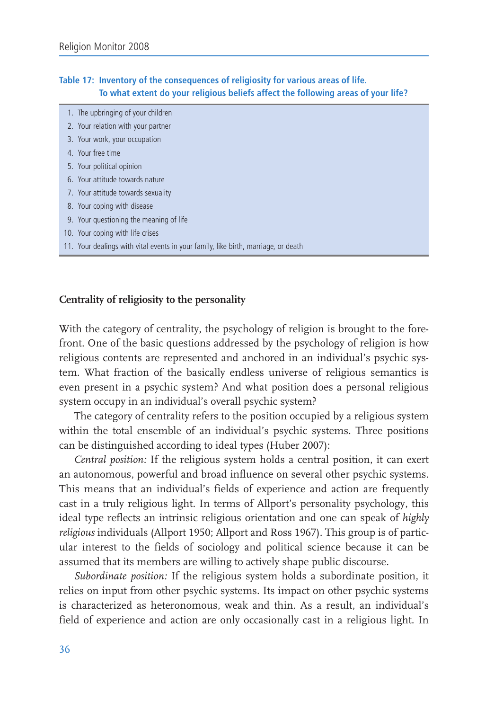### Table 17: Inventory of the consequences of religiosity for various areas of life. To what extent do your religious beliefs affect the following areas of your life?

| 1. The upbringing of your children                                                 |
|------------------------------------------------------------------------------------|
| 2. Your relation with your partner                                                 |
| 3. Your work, your occupation                                                      |
| 4. Your free time                                                                  |
| 5. Your political opinion                                                          |
| 6. Your attitude towards nature                                                    |
| 7. Your attitude towards sexuality                                                 |
| 8. Your coping with disease                                                        |
| 9. Your questioning the meaning of life                                            |
| 10. Your coping with life crises                                                   |
| 11. Your dealings with vital events in your family, like birth, marriage, or death |

# Centrality of religiosity to the personality

With the category of centrality, the psychology of religion is brought to the forefront. One of the basic questions addressed by the psychology of religion is how religious contents are represented and anchored in an individual's psychic system. What fraction of the basically endless universe of religious semantics is even present in a psychic system? And what position does a personal religious system occupy in an individual's overall psychic system?

The category of centrality refers to the position occupied by a religious system within the total ensemble of an individual's psychic systems. Three positions can be distinguished according to ideal types (Huber 2007):

Central position: If the religious system holds a central position, it can exert an autonomous, powerful and broad influence on several other psychic systems. This means that an individual's fields of experience and action are frequently cast in a truly religious light. In terms of Allport's personality psychology, this ideal type reflects an intrinsic religious orientation and one can speak of highly religious individuals (Allport 1950; Allport and Ross 1967). This group is of particular interest to the fields of sociology and political science because it can be assumed that its members are willing to actively shape public discourse.

Subordinate position: If the religious system holds a subordinate position, it relies on input from other psychic systems. Its impact on other psychic systems is characterized as heteronomous, weak and thin. As a result, an individual's field of experience and action are only occasionally cast in a religious light. In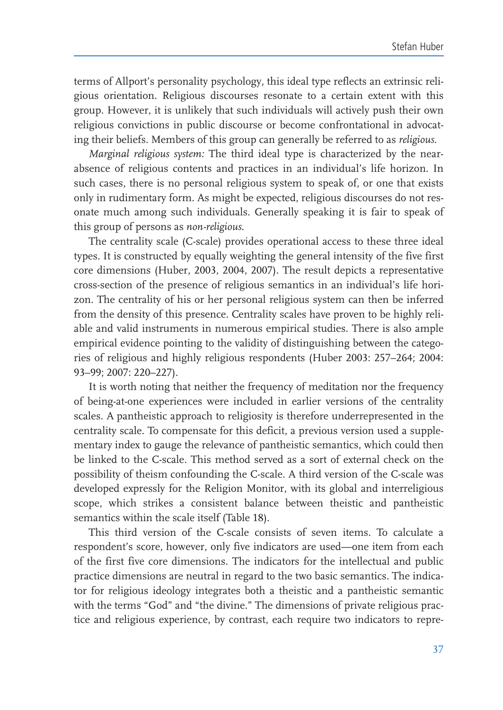terms of Allport's personality psychology, this ideal type reflects an extrinsic religious orientation. Religious discourses resonate to a certain extent with this group. However, it is unlikely that such individuals will actively push their own religious convictions in public discourse or become confrontational in advocating their beliefs. Members of this group can generally be referred to as religious.

Marginal religious system: The third ideal type is characterized by the nearabsence of religious contents and practices in an individual's life horizon. In such cases, there is no personal religious system to speak of, or one that exists only in rudimentary form. As might be expected, religious discourses do not resonate much among such individuals. Generally speaking it is fair to speak of this group of persons as non-religious.

The centrality scale (C-scale) provides operational access to these three ideal types. It is constructed by equally weighting the general intensity of the five first core dimensions (Huber, 2003, 2004, 2007). The result depicts a representative cross-section of the presence of religious semantics in an individual's life horizon. The centrality of his or her personal religious system can then be inferred from the density of this presence. Centrality scales have proven to be highly reliable and valid instruments in numerous empirical studies. There is also ample empirical evidence pointing to the validity of distinguishing between the categories of religious and highly religious respondents (Huber 2003: 257-264; 2004: 93-99; 2007: 220-227).

It is worth noting that neither the frequency of meditation nor the frequency of being-at-one experiences were included in earlier versions of the centrality scales. A pantheistic approach to religiosity is therefore underrepresented in the centrality scale. To compensate for this deficit, a previous version used a supplementary index to gauge the relevance of pantheistic semantics, which could then be linked to the C-scale. This method served as a sort of external check on the possibility of theism confounding the C-scale. A third version of the C-scale was developed expressly for the Religion Monitor, with its global and interreligious scope, which strikes a consistent balance between theistic and pantheistic semantics within the scale itself (Table 18).

This third version of the C-scale consists of seven items. To calculate a respondent's score, however, only five indicators are used—one item from each of the first five core dimensions. The indicators for the intellectual and public practice dimensions are neutral in regard to the two basic semantics. The indicator for religious ideology integrates both a theistic and a pantheistic semantic with the terms "God" and "the divine." The dimensions of private religious practice and religious experience, by contrast, each require two indicators to repre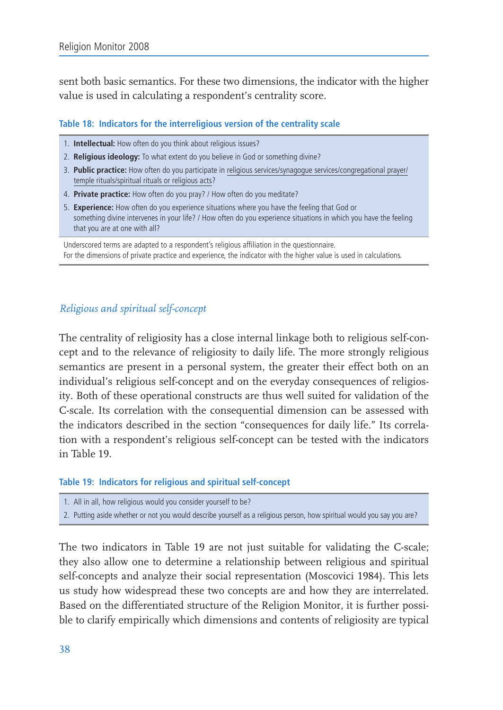sent both basic semantics. For these two dimensions, the indicator with the higher value is used in calculating a respondent's centrality score.

# Table 18: Indicators for the interreligious version of the centrality scale

- 1. Intellectual: How often do you think about religious issues?
- 2. Religious ideology: To what extent do you believe in God or something divine?
- 3. Public practice: How often do you participate in religious services/synagogue services/congregational prayer/ temple rituals/spiritual rituals or religious acts?
- 4. Private practice: How often do you pray? / How often do you meditate?
- 5. Experience: How often do you experience situations where you have the feeling that God or something divine intervenes in your life? / How often do you experience situations in which you have the feeling that you are at one with all?

Underscored terms are adapted to a respondent's religious affiliation in the questionnaire. For the dimensions of private practice and experience, the indicator with the higher value is used in calculations.

# Religious and spiritual self-concept

The centrality of religiosity has a close internal linkage both to religious self-concept and to the relevance of religiosity to daily life. The more strongly religious semantics are present in a personal system, the greater their effect both on an individual's religious self-concept and on the everyday consequences of religiosity. Both of these operational constructs are thus well suited for validation of the C-scale. Its correlation with the consequential dimension can be assessed with the indicators described in the section "consequences for daily life." Its correlation with a respondent's religious self-concept can be tested with the indicators in Table 19

#### Table 19: Indicators for religious and spiritual self-concept

- 1. All in all, how religious would you consider yourself to be?
- 2. Putting aside whether or not you would describe yourself as a religious person, how spiritual would you say you are?

The two indicators in Table 19 are not just suitable for validating the C-scale; they also allow one to determine a relationship between religious and spiritual self-concepts and analyze their social representation (Moscovici 1984). This lets us study how widespread these two concepts are and how they are interrelated. Based on the differentiated structure of the Religion Monitor, it is further possible to clarify empirically which dimensions and contents of religiosity are typical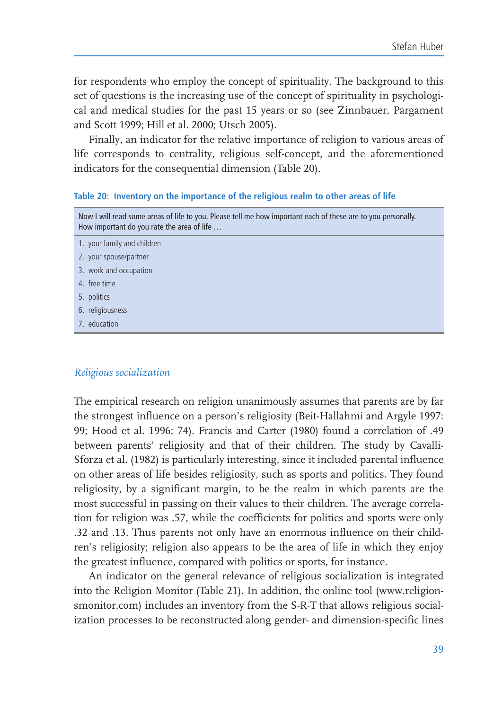for respondents who employ the concept of spirituality. The background to this set of questions is the increasing use of the concept of spirituality in psychological and medical studies for the past 15 years or so (see Zinnbauer, Pargament and Scott 1999; Hill et al. 2000; Utsch 2005).

Finally, an indicator for the relative importance of religion to various areas of life corresponds to centrality, religious self-concept, and the aforementioned indicators for the consequential dimension (Table 20).

#### Table 20: Inventory on the importance of the religious realm to other areas of life

- Now I will read some areas of life to you. Please tell me how important each of these are to you personally. How important do you rate the area of life ... 1. your family and children
- 2. your spouse/partner
- 3. work and occupation
- 4. free time
- 5. politics
- 6. religiousness
- 7. education

#### Religious socialization

The empirical research on religion unanimously assumes that parents are by far the strongest influence on a person's religiosity (Beit-Hallahmi and Argyle 1997: 99; Hood et al. 1996: 74). Francis and Carter (1980) found a correlation of .49 between parents' religiosity and that of their children. The study by Cavalli-Sforza et al. (1982) is particularly interesting, since it included parental influence on other areas of life besides religiosity, such as sports and politics. They found religiosity, by a significant margin, to be the realm in which parents are the most successful in passing on their values to their children. The average correlation for religion was .57, while the coefficients for politics and sports were only .32 and .13. Thus parents not only have an enormous influence on their children's religiosity; religion also appears to be the area of life in which they enjoy the greatest influence, compared with politics or sports, for instance.

An indicator on the general relevance of religious socialization is integrated into the Religion Monitor (Table 21). In addition, the online tool (www.religionsmonitor.com) includes an inventory from the S-R-T that allows religious socialization processes to be reconstructed along gender- and dimension-specific lines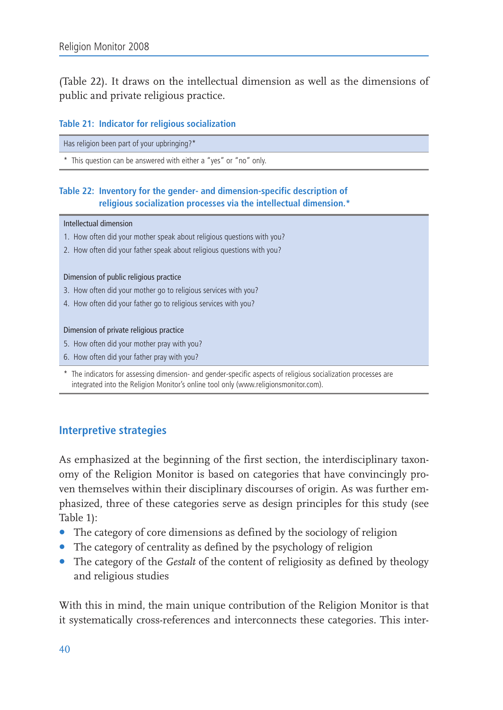(Table 22). It draws on the intellectual dimension as well as the dimensions of public and private religious practice.

## Table 21: Indicator for religious socialization

Has religion been part of your upbringing?\*

\* This question can be answered with either a "yes" or "no" only.

# Table 22: Inventory for the gender- and dimension-specific description of religious socialization processes via the intellectual dimension.\*

#### Intellectual dimension

- 1. How often did your mother speak about religious questions with you?
- 2. How often did your father speak about religious questions with you?

#### Dimension of public religious practice

- 3. How often did your mother go to religious services with you?
- 4. How often did your father go to religious services with you?

#### Dimension of private religious practice

- 5. How often did your mother pray with you?
- 6. How often did your father pray with you?

\* The indicators for assessing dimension- and gender-specific aspects of religious socialization processes are integrated into the Religion Monitor's online tool only (www.religionsmonitor.com).

# **Interpretive strategies**

As emphasized at the beginning of the first section, the interdisciplinary taxonomy of the Religion Monitor is based on categories that have convincingly proven themselves within their disciplinary discourses of origin. As was further emphasized, three of these categories serve as design principles for this study (see Table 1):

- The category of core dimensions as defined by the sociology of religion
- The category of centrality as defined by the psychology of religion
- The category of the Gestalt of the content of religiosity as defined by theology and religious studies

With this in mind, the main unique contribution of the Religion Monitor is that it systematically cross-references and interconnects these categories. This inter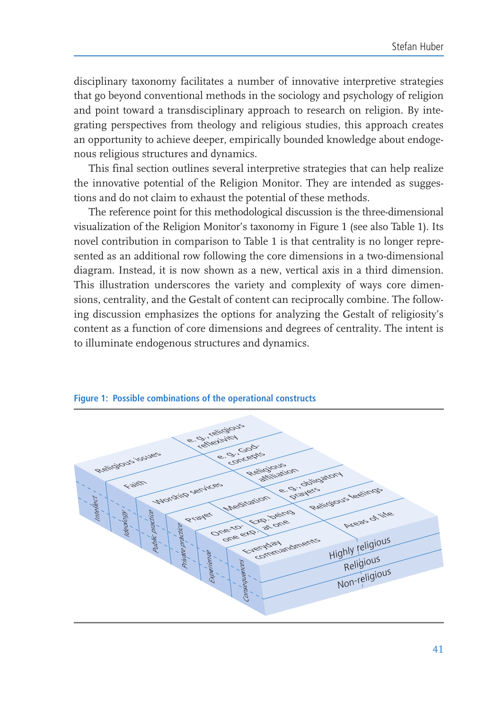disciplinary taxonomy facilitates a number of innovative interpretive strategies that go beyond conventional methods in the sociology and psychology of religion and point toward a transdisciplinary approach to research on religion. By integrating perspectives from theology and religious studies, this approach creates an opportunity to achieve deeper, empirically bounded knowledge about endogenous religious structures and dynamics.

This final section outlines several interpretive strategies that can help realize the innovative potential of the Religion Monitor. They are intended as suggestions and do not claim to exhaust the potential of these methods.

The reference point for this methodological discussion is the three-dimensional visualization of the Religion Monitor's taxonomy in Figure 1 (see also Table 1). Its novel contribution in comparison to Table 1 is that centrality is no longer represented as an additional row following the core dimensions in a two-dimensional diagram. Instead, it is now shown as a new, vertical axis in a third dimension. This illustration underscores the variety and complexity of ways core dimensions, centrality, and the Gestalt of content can reciprocally combine. The following discussion emphasizes the options for analyzing the Gestalt of religiosity's content as a function of core dimensions and degrees of centrality. The intent is to illuminate endogenous structures and dynamics.



## Figure 1: Possible combinations of the operational constructs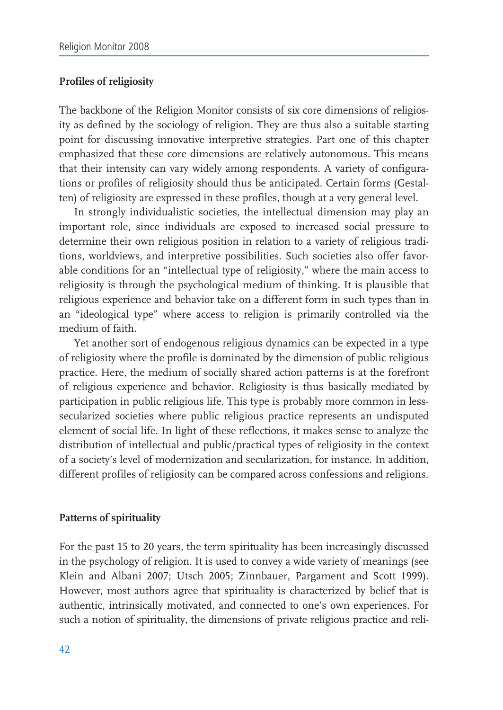# **Profiles of religiosity**

The backbone of the Religion Monitor consists of six core dimensions of religiosity as defined by the sociology of religion. They are thus also a suitable starting point for discussing innovative interpretive strategies. Part one of this chapter emphasized that these core dimensions are relatively autonomous. This means that their intensity can vary widely among respondents. A variety of configurations or profiles of religiosity should thus be anticipated. Certain forms (Gestalten) of religiosity are expressed in these profiles, though at a very general level.

In strongly individualistic societies, the intellectual dimension may play an important role, since individuals are exposed to increased social pressure to determine their own religious position in relation to a variety of religious traditions, worldviews, and interpretive possibilities. Such societies also offer favorable conditions for an "intellectual type of religiosity," where the main access to religiosity is through the psychological medium of thinking. It is plausible that religious experience and behavior take on a different form in such types than in an "ideological type" where access to religion is primarily controlled via the medium of faith.

Yet another sort of endogenous religious dynamics can be expected in a type of religiosity where the profile is dominated by the dimension of public religious practice. Here, the medium of socially shared action patterns is at the forefront of religious experience and behavior. Religiosity is thus basically mediated by participation in public religious life. This type is probably more common in lesssecularized societies where public religious practice represents an undisputed element of social life. In light of these reflections, it makes sense to analyze the distribution of intellectual and public/practical types of religiosity in the context of a society's level of modernization and secularization, for instance. In addition, different profiles of religiosity can be compared across confessions and religions.

# **Patterns of spirituality**

For the past 15 to 20 years, the term spirituality has been increasingly discussed in the psychology of religion. It is used to convey a wide variety of meanings (see Klein and Albani 2007; Utsch 2005; Zinnbauer, Pargament and Scott 1999). However, most authors agree that spirituality is characterized by belief that is authentic, intrinsically motivated, and connected to one's own experiences. For such a notion of spirituality, the dimensions of private religious practice and reli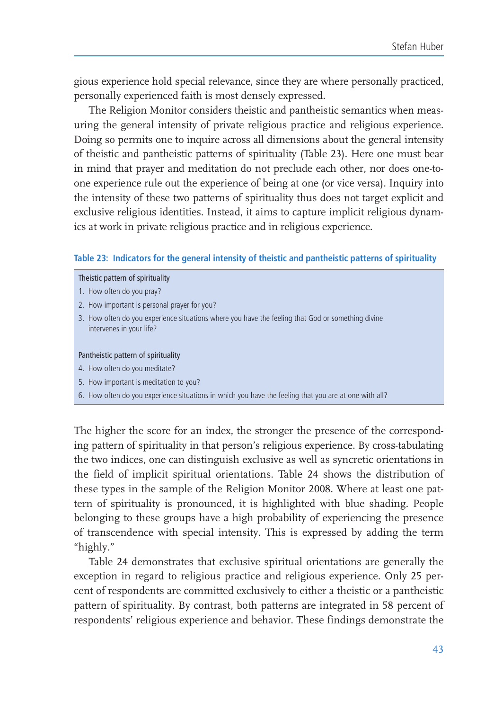gious experience hold special relevance, since they are where personally practiced, personally experienced faith is most densely expressed.

The Religion Monitor considers theistic and pantheistic semantics when measuring the general intensity of private religious practice and religious experience. Doing so permits one to inquire across all dimensions about the general intensity of theistic and pantheistic patterns of spirituality (Table 23). Here one must bear in mind that prayer and meditation do not preclude each other, nor does one-toone experience rule out the experience of being at one (or vice versa). Inquiry into the intensity of these two patterns of spirituality thus does not target explicit and exclusive religious identities. Instead, it aims to capture implicit religious dynamics at work in private religious practice and in religious experience.

#### Table 23: Indicators for the general intensity of theistic and pantheistic patterns of spirituality

#### Theistic pattern of spirituality

- 1. How often do you pray?
- 2. How important is personal prayer for you?
- 3. How often do you experience situations where you have the feeling that God or something divine intervenes in your life?

#### Pantheistic pattern of spirituality

- 4. How often do you meditate?
- 5. How important is meditation to you?
- 6. How often do you experience situations in which you have the feeling that you are at one with all?

The higher the score for an index, the stronger the presence of the corresponding pattern of spirituality in that person's religious experience. By cross-tabulating the two indices, one can distinguish exclusive as well as syncretic orientations in the field of implicit spiritual orientations. Table 24 shows the distribution of these types in the sample of the Religion Monitor 2008. Where at least one pattern of spirituality is pronounced, it is highlighted with blue shading. People belonging to these groups have a high probability of experiencing the presence of transcendence with special intensity. This is expressed by adding the term "highly."

Table 24 demonstrates that exclusive spiritual orientations are generally the exception in regard to religious practice and religious experience. Only 25 percent of respondents are committed exclusively to either a theistic or a pantheistic pattern of spirituality. By contrast, both patterns are integrated in 58 percent of respondents' religious experience and behavior. These findings demonstrate the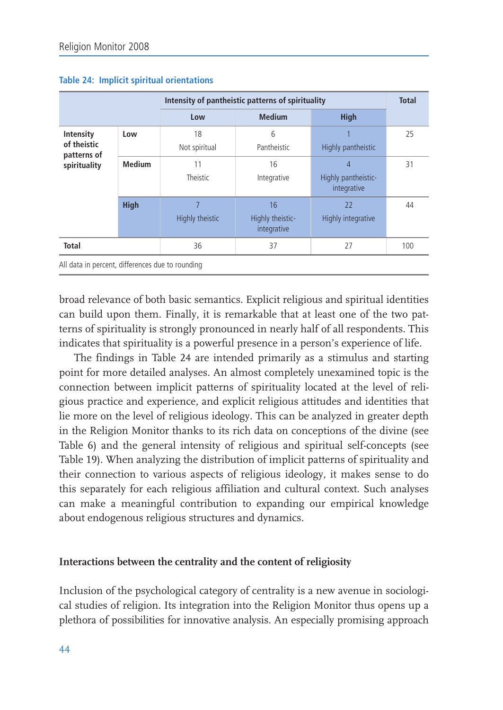|                                                         |               | Intensity of pantheistic patterns of spirituality |                                       |                                         |     |
|---------------------------------------------------------|---------------|---------------------------------------------------|---------------------------------------|-----------------------------------------|-----|
|                                                         |               | Low                                               | <b>Medium</b>                         | <b>High</b>                             |     |
| Intensity<br>of theistic<br>patterns of<br>spirituality | Low           | 18<br>Not spiritual                               | 6<br>Pantheistic                      | Highly pantheistic                      | 25  |
|                                                         | <b>Medium</b> | 11<br>Theistic                                    | 16<br>Integrative                     | 4<br>Highly pantheistic-<br>integrative | 31  |
|                                                         | <b>High</b>   | Highly theistic                                   | 16<br>Highly theistic-<br>integrative | 22<br>Highly integrative                | 44  |
| <b>Total</b>                                            |               | 36                                                | 37                                    | 27                                      | 100 |
| All data in percent, differences due to rounding        |               |                                                   |                                       |                                         |     |

### Table 24: Implicit spiritual orientations

broad relevance of both basic semantics. Explicit religious and spiritual identities can build upon them. Finally, it is remarkable that at least one of the two patterns of spirituality is strongly pronounced in nearly half of all respondents. This indicates that spirituality is a powerful presence in a person's experience of life.

The findings in Table 24 are intended primarily as a stimulus and starting point for more detailed analyses. An almost completely unexamined topic is the connection between implicit patterns of spirituality located at the level of religious practice and experience, and explicit religious attitudes and identities that lie more on the level of religious ideology. This can be analyzed in greater depth in the Religion Monitor thanks to its rich data on conceptions of the divine (see Table 6) and the general intensity of religious and spiritual self-concepts (see Table 19). When analyzing the distribution of implicit patterns of spirituality and their connection to various aspects of religious ideology, it makes sense to do this separately for each religious affiliation and cultural context. Such analyses can make a meaningful contribution to expanding our empirical knowledge about endogenous religious structures and dynamics.

# Interactions between the centrality and the content of religiosity

Inclusion of the psychological category of centrality is a new avenue in sociological studies of religion. Its integration into the Religion Monitor thus opens up a plethora of possibilities for innovative analysis. An especially promising approach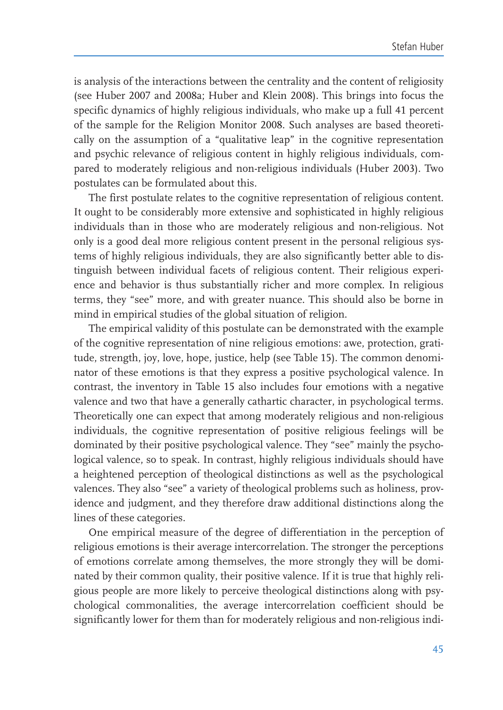is analysis of the interactions between the centrality and the content of religiosity (see Huber 2007 and 2008a; Huber and Klein 2008). This brings into focus the specific dynamics of highly religious individuals, who make up a full 41 percent of the sample for the Religion Monitor 2008. Such analyses are based theoretically on the assumption of a "qualitative leap" in the cognitive representation and psychic relevance of religious content in highly religious individuals, compared to moderately religious and non-religious individuals (Huber 2003). Two postulates can be formulated about this.

The first postulate relates to the cognitive representation of religious content. It ought to be considerably more extensive and sophisticated in highly religious individuals than in those who are moderately religious and non-religious. Not only is a good deal more religious content present in the personal religious systems of highly religious individuals, they are also significantly better able to distinguish between individual facets of religious content. Their religious experience and behavior is thus substantially richer and more complex. In religious terms, they "see" more, and with greater nuance. This should also be borne in mind in empirical studies of the global situation of religion.

The empirical validity of this postulate can be demonstrated with the example of the cognitive representation of nine religious emotions: awe, protection, gratitude, strength, joy, love, hope, justice, help (see Table 15). The common denominator of these emotions is that they express a positive psychological valence. In contrast, the inventory in Table 15 also includes four emotions with a negative valence and two that have a generally cathartic character, in psychological terms. Theoretically one can expect that among moderately religious and non-religious individuals, the cognitive representation of positive religious feelings will be dominated by their positive psychological valence. They "see" mainly the psychological valence, so to speak. In contrast, highly religious individuals should have a heightened perception of theological distinctions as well as the psychological valences. They also "see" a variety of theological problems such as holiness, providence and judgment, and they therefore draw additional distinctions along the lines of these categories.

One empirical measure of the degree of differentiation in the perception of religious emotions is their average intercorrelation. The stronger the perceptions of emotions correlate among themselves, the more strongly they will be dominated by their common quality, their positive valence. If it is true that highly religious people are more likely to perceive theological distinctions along with psychological commonalities, the average intercorrelation coefficient should be significantly lower for them than for moderately religious and non-religious indi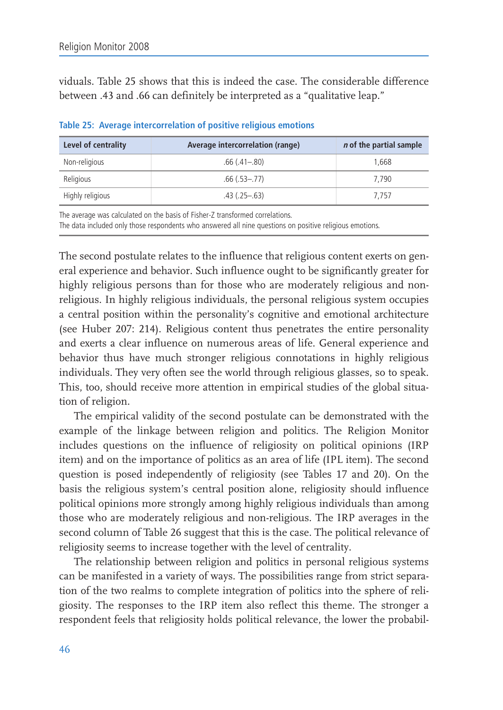viduals. Table 25 shows that this is indeed the case. The considerable difference between .43 and .66 can definitely be interpreted as a "qualitative leap."

| Level of centrality | Average intercorrelation (range) | <i>n</i> of the partial sample |
|---------------------|----------------------------------|--------------------------------|
| Non-religious       | $.66(.41 - .80)$                 | 1.668                          |
| Religious           | $.66(.53-.77)$                   | 7.790                          |
| Highly religious    | $.43$ (.25–.63)                  | 7.757                          |

Table 25: Average intercorrelation of positive religious emotions

The average was calculated on the basis of Fisher-Z transformed correlations.

The data included only those respondents who answered all nine questions on positive religious emotions.

The second postulate relates to the influence that religious content exerts on general experience and behavior. Such influence ought to be significantly greater for highly religious persons than for those who are moderately religious and nonreligious. In highly religious individuals, the personal religious system occupies a central position within the personality's cognitive and emotional architecture (see Huber 207: 214). Religious content thus penetrates the entire personality and exerts a clear influence on numerous areas of life. General experience and behavior thus have much stronger religious connotations in highly religious individuals. They very often see the world through religious glasses, so to speak. This, too, should receive more attention in empirical studies of the global situation of religion.

The empirical validity of the second postulate can be demonstrated with the example of the linkage between religion and politics. The Religion Monitor includes questions on the influence of religiosity on political opinions (IRP item) and on the importance of politics as an area of life (IPL item). The second question is posed independently of religiosity (see Tables 17 and 20). On the basis the religious system's central position alone, religiosity should influence political opinions more strongly among highly religious individuals than among those who are moderately religious and non-religious. The IRP averages in the second column of Table 26 suggest that this is the case. The political relevance of religiosity seems to increase together with the level of centrality.

The relationship between religion and politics in personal religious systems can be manifested in a variety of ways. The possibilities range from strict separation of the two realms to complete integration of politics into the sphere of religiosity. The responses to the IRP item also reflect this theme. The stronger a respondent feels that religiosity holds political relevance, the lower the probabil-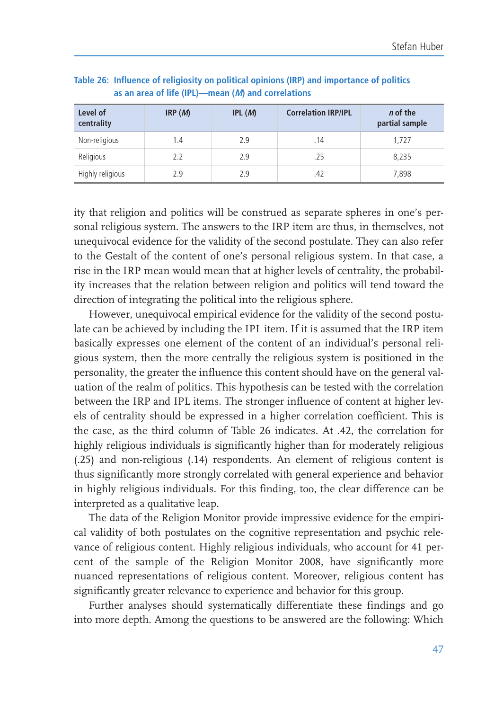| Level of<br>centrality | IRP(M) | IPL(M) | <b>Correlation IRP/IPL</b> | <i>n</i> of the<br>partial sample |
|------------------------|--------|--------|----------------------------|-----------------------------------|
| Non-religious          | 1.4    | 2.9    | .14                        | 1.727                             |
| Religious              | 2.2    | 2.9    | .25                        | 8,235                             |
| Highly religious       | 29     | 29     | .42                        | 7,898                             |

Table 26: Influence of religiosity on political opinions (IRP) and importance of politics as an area of life (IPL)-mean (M) and correlations

ity that religion and politics will be construed as separate spheres in one's personal religious system. The answers to the IRP item are thus, in themselves, not unequivocal evidence for the validity of the second postulate. They can also refer to the Gestalt of the content of one's personal religious system. In that case, a rise in the IRP mean would mean that at higher levels of centrality, the probability increases that the relation between religion and politics will tend toward the direction of integrating the political into the religious sphere.

However, unequivocal empirical evidence for the validity of the second postulate can be achieved by including the IPL item. If it is assumed that the IRP item basically expresses one element of the content of an individual's personal religious system, then the more centrally the religious system is positioned in the personality, the greater the influence this content should have on the general valuation of the realm of politics. This hypothesis can be tested with the correlation between the IRP and IPL items. The stronger influence of content at higher levels of centrality should be expressed in a higher correlation coefficient. This is the case, as the third column of Table 26 indicates. At .42, the correlation for highly religious individuals is significantly higher than for moderately religious (.25) and non-religious (.14) respondents. An element of religious content is thus significantly more strongly correlated with general experience and behavior in highly religious individuals. For this finding, too, the clear difference can be interpreted as a qualitative leap.

The data of the Religion Monitor provide impressive evidence for the empirical validity of both postulates on the cognitive representation and psychic relevance of religious content. Highly religious individuals, who account for 41 percent of the sample of the Religion Monitor 2008, have significantly more nuanced representations of religious content. Moreover, religious content has significantly greater relevance to experience and behavior for this group.

Further analyses should systematically differentiate these findings and go into more depth. Among the questions to be answered are the following: Which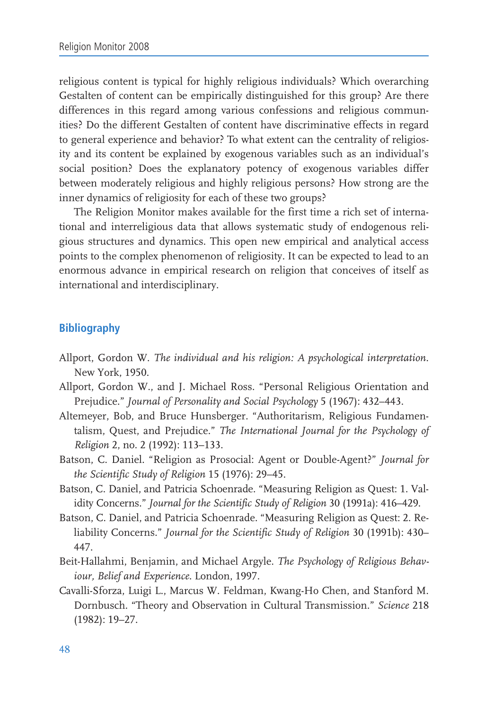religious content is typical for highly religious individuals? Which overarching Gestalten of content can be empirically distinguished for this group? Are there differences in this regard among various confessions and religious communities? Do the different Gestalten of content have discriminative effects in regard to general experience and behavior? To what extent can the centrality of religiosity and its content be explained by exogenous variables such as an individual's social position? Does the explanatory potency of exogenous variables differ between moderately religious and highly religious persons? How strong are the inner dynamics of religiosity for each of these two groups?

The Religion Monitor makes available for the first time a rich set of international and interreligious data that allows systematic study of endogenous religious structures and dynamics. This open new empirical and analytical access points to the complex phenomenon of religiosity. It can be expected to lead to an enormous advance in empirical research on religion that conceives of itself as international and interdisciplinary.

# **Bibliography**

- Allport, Gordon W. The individual and his religion: A psychological interpretation. New York, 1950.
- Allport, Gordon W., and J. Michael Ross. "Personal Religious Orientation and Prejudice." Journal of Personality and Social Psychology 5 (1967): 432-443.
- Altemeyer, Bob, and Bruce Hunsberger. "Authoritarism, Religious Fundamentalism, Quest, and Prejudice." The International Journal for the Psychology of Religion 2, no. 2 (1992): 113-133.
- Batson, C. Daniel. "Religion as Prosocial: Agent or Double-Agent?" Journal for the Scientific Study of Religion 15 (1976): 29-45.
- Batson, C. Daniel, and Patricia Schoenrade. "Measuring Religion as Quest: 1. Validity Concerns." Journal for the Scientific Study of Religion 30 (1991a): 416-429.
- Batson, C. Daniel, and Patricia Schoenrade. "Measuring Religion as Quest: 2. Reliability Concerns." Journal for the Scientific Study of Religion 30 (1991b): 430-447.
- Beit-Hallahmi, Benjamin, and Michael Argyle. The Psychology of Religious Behaviour, Belief and Experience. London, 1997.
- Cavalli-Sforza, Luigi L., Marcus W. Feldman, Kwang-Ho Chen, and Stanford M. Dornbusch. "Theory and Observation in Cultural Transmission." Science 218  $(1982): 19-27.$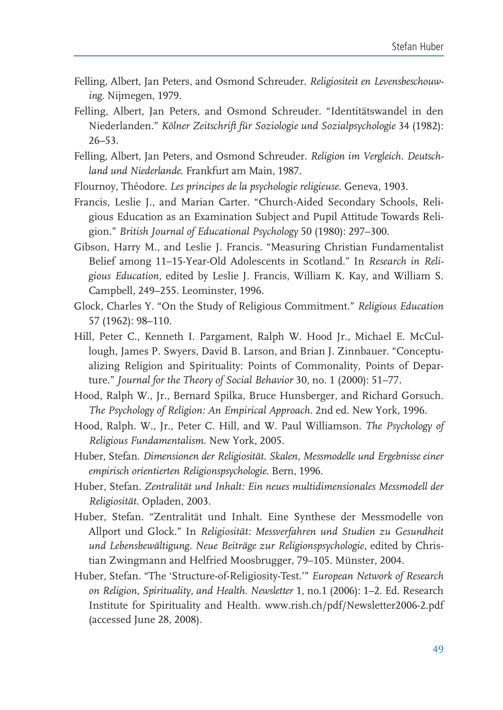- Felling, Albert, Jan Peters, and Osmond Schreuder. Religiositeit en Levensbeschouwing. Nijmegen, 1979.
- Felling, Albert, Jan Peters, and Osmond Schreuder. "Identitätswandel in den Niederlanden." Kölner Zeitschrift für Soziologie und Sozialpsychologie 34 (1982):  $26 - 53$ .
- Felling, Albert, Jan Peters, and Osmond Schreuder. Religion im Vergleich. Deutschland und Niederlande. Frankfurt am Main, 1987.
- Flournoy, Théodore. Les principes de la psychologie religieuse. Geneva, 1903.
- Francis, Leslie J., and Marian Carter. "Church-Aided Secondary Schools, Religious Education as an Examination Subject and Pupil Attitude Towards Religion." British Journal of Educational Psychology 50 (1980): 297–300.
- Gibson, Harry M., and Leslie J. Francis. "Measuring Christian Fundamentalist Belief among 11-15-Year-Old Adolescents in Scotland." In Research in Religious Education, edited by Leslie J. Francis, William K. Kay, and William S. Campbell, 249-255. Leominster, 1996.
- Glock, Charles Y. "On the Study of Religious Commitment." Religious Education 57 (1962): 98-110.
- Hill, Peter C., Kenneth I. Pargament, Ralph W. Hood Jr., Michael E. McCullough, James P. Swyers, David B. Larson, and Brian J. Zinnbauer. "Conceptualizing Religion and Spirituality: Points of Commonality, Points of Departure." Journal for the Theory of Social Behavior 30, no. 1 (2000): 51–77.
- Hood, Ralph W., Jr., Bernard Spilka, Bruce Hunsberger, and Richard Gorsuch. The Psychology of Religion: An Empirical Approach. 2nd ed. New York, 1996.
- Hood, Ralph. W., Jr., Peter C. Hill, and W. Paul Williamson. The Psychology of Religious Fundamentalism. New York, 2005.
- Huber, Stefan. Dimensionen der Religiosität. Skalen, Messmodelle und Ergebnisse einer empirisch orientierten Religionspsychologie. Bern, 1996.
- Huber, Stefan. Zentralität und Inhalt: Ein neues multidimensionales Messmodell der Religiosität. Opladen, 2003.
- Huber, Stefan. "Zentralität und Inhalt. Eine Synthese der Messmodelle von Allport und Glock." In Religiosität: Messverfahren und Studien zu Gesundheit und Lebensbewältigung. Neue Beiträge zur Religionspsychologie, edited by Christian Zwingmann and Helfried Moosbrugger, 79-105. Münster, 2004.
- Huber, Stefan. "The 'Structure-of-Religiosity-Test.'" European Network of Research on Religion, Spirituality, and Health. Newsletter 1, no.1 (2006): 1-2. Ed. Research Institute for Spirituality and Health. www.rish.ch/pdf/Newsletter2006-2.pdf (accessed June 28, 2008).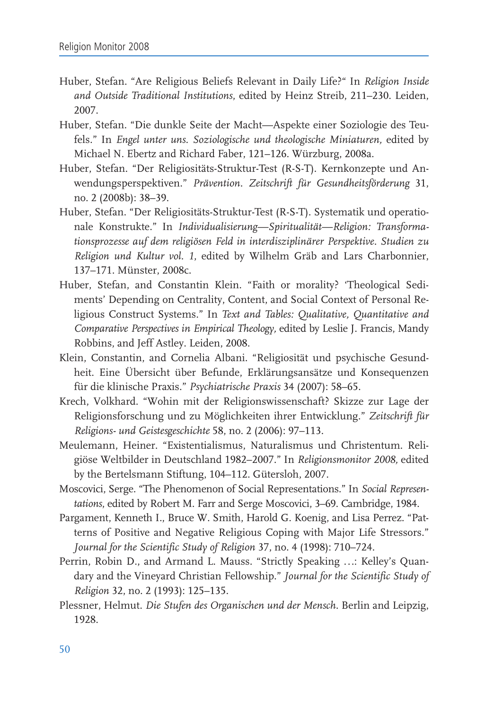- Huber, Stefan. "Are Religious Beliefs Relevant in Daily Life?" In Religion Inside and Outside Traditional Institutions, edited by Heinz Streib, 211-230. Leiden, 2007.
- Huber, Stefan. "Die dunkle Seite der Macht-Aspekte einer Soziologie des Teufels." In Engel unter uns. Soziologische und theologische Miniaturen, edited by Michael N. Ebertz and Richard Faber, 121-126. Würzburg, 2008a.
- Huber, Stefan. "Der Religiositäts-Struktur-Test (R-S-T). Kernkonzepte und Anwendungsperspektiven." Prävention. Zeitschrift für Gesundheitsförderung 31, no. 2 (2008b): 38-39.
- Huber, Stefan. "Der Religiositäts-Struktur-Test (R-S-T). Systematik und operationale Konstrukte." In Individualisierung-Spiritualität-Religion: Transformationsprozesse auf dem religiösen Feld in interdisziplinärer Perspektive. Studien zu Religion und Kultur vol. 1, edited by Wilhelm Gräb and Lars Charbonnier, 137-171. Münster. 2008c.
- Huber, Stefan, and Constantin Klein. "Faith or morality? 'Theological Sediments' Depending on Centrality, Content, and Social Context of Personal Religious Construct Systems." In Text and Tables: Qualitative, Quantitative and Comparative Perspectives in Empirical Theology, edited by Leslie J. Francis, Mandy Robbins, and Jeff Astley. Leiden, 2008.
- Klein, Constantin, and Cornelia Albani. "Religiosität und psychische Gesundheit. Eine Übersicht über Befunde, Erklärungsansätze und Konsequenzen für die klinische Praxis." Psychiatrische Praxis 34 (2007): 58-65.
- Krech, Volkhard. "Wohin mit der Religionswissenschaft? Skizze zur Lage der Religionsforschung und zu Möglichkeiten ihrer Entwicklung." Zeitschrift für Religions- und Geistesgeschichte 58, no. 2 (2006): 97-113.
- Meulemann, Heiner. "Existentialismus, Naturalismus und Christentum. Religiöse Weltbilder in Deutschland 1982–2007." In Religionsmonitor 2008, edited by the Bertelsmann Stiftung, 104-112. Gütersloh, 2007.
- Moscovici, Serge. "The Phenomenon of Social Representations." In Social Representations, edited by Robert M. Farr and Serge Moscovici, 3-69. Cambridge, 1984.
- Pargament, Kenneth I., Bruce W. Smith, Harold G. Koenig, and Lisa Perrez. "Patterns of Positive and Negative Religious Coping with Major Life Stressors." Journal for the Scientific Study of Religion 37, no. 4 (1998): 710–724.
- Perrin, Robin D., and Armand L. Mauss. "Strictly Speaking ...: Kelley's Quandary and the Vineyard Christian Fellowship." Journal for the Scientific Study of Religion 32, no. 2 (1993): 125-135.
- Plessner, Helmut. Die Stufen des Organischen und der Mensch. Berlin and Leipzig, 1928.